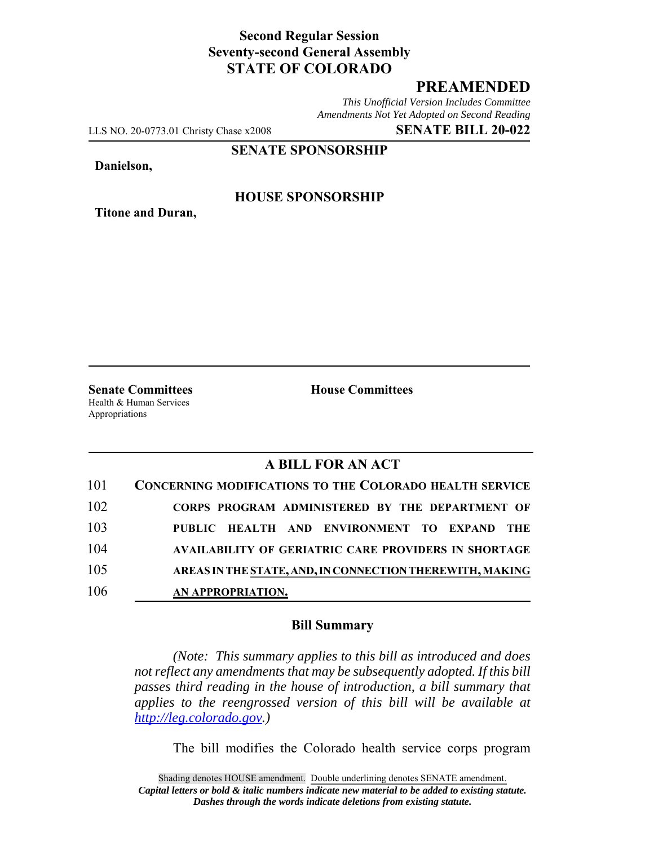## **Second Regular Session Seventy-second General Assembly STATE OF COLORADO**

# **PREAMENDED**

*This Unofficial Version Includes Committee Amendments Not Yet Adopted on Second Reading*

LLS NO. 20-0773.01 Christy Chase x2008 **SENATE BILL 20-022**

**SENATE SPONSORSHIP**

**Danielson,**

**Titone and Duran,**

### **HOUSE SPONSORSHIP**

**Senate Committees House Committees** Health & Human Services Appropriations

## **A BILL FOR AN ACT**

| 101 | <b>CONCERNING MODIFICATIONS TO THE COLORADO HEALTH SERVICE</b> |
|-----|----------------------------------------------------------------|
| 102 | CORPS PROGRAM ADMINISTERED BY THE DEPARTMENT OF                |
| 103 | PUBLIC HEALTH AND ENVIRONMENT TO EXPAND THE                    |
| 104 | <b>AVAILABILITY OF GERIATRIC CARE PROVIDERS IN SHORTAGE</b>    |
| 105 | AREAS IN THE STATE, AND, IN CONNECTION THEREWITH, MAKING       |
| 106 | AN APPROPRIATION.                                              |

#### **Bill Summary**

*(Note: This summary applies to this bill as introduced and does not reflect any amendments that may be subsequently adopted. If this bill passes third reading in the house of introduction, a bill summary that applies to the reengrossed version of this bill will be available at http://leg.colorado.gov.)*

The bill modifies the Colorado health service corps program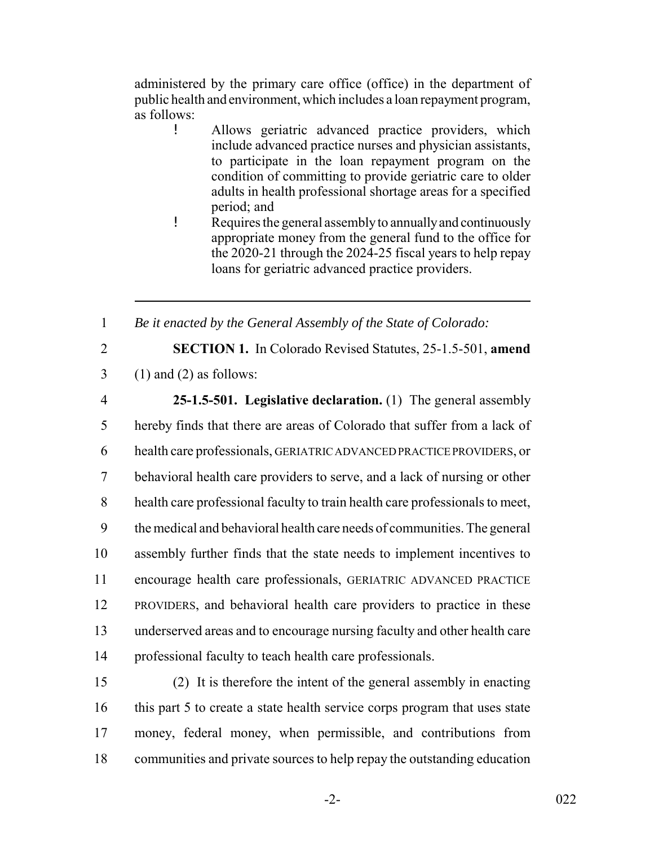administered by the primary care office (office) in the department of public health and environment, which includes a loan repayment program, as follows:

- ! Allows geriatric advanced practice providers, which include advanced practice nurses and physician assistants, to participate in the loan repayment program on the condition of committing to provide geriatric care to older adults in health professional shortage areas for a specified period; and
- ! Requires the general assembly to annually and continuously appropriate money from the general fund to the office for the 2020-21 through the 2024-25 fiscal years to help repay loans for geriatric advanced practice providers.

1 *Be it enacted by the General Assembly of the State of Colorado:*

2 **SECTION 1.** In Colorado Revised Statutes, 25-1.5-501, **amend**

- $3 \quad (1)$  and  $(2)$  as follows:
- 

 **25-1.5-501. Legislative declaration.** (1) The general assembly hereby finds that there are areas of Colorado that suffer from a lack of health care professionals, GERIATRIC ADVANCED PRACTICE PROVIDERS, or behavioral health care providers to serve, and a lack of nursing or other health care professional faculty to train health care professionals to meet, the medical and behavioral health care needs of communities. The general assembly further finds that the state needs to implement incentives to encourage health care professionals, GERIATRIC ADVANCED PRACTICE PROVIDERS, and behavioral health care providers to practice in these underserved areas and to encourage nursing faculty and other health care

14 professional faculty to teach health care professionals.

 (2) It is therefore the intent of the general assembly in enacting this part 5 to create a state health service corps program that uses state money, federal money, when permissible, and contributions from communities and private sources to help repay the outstanding education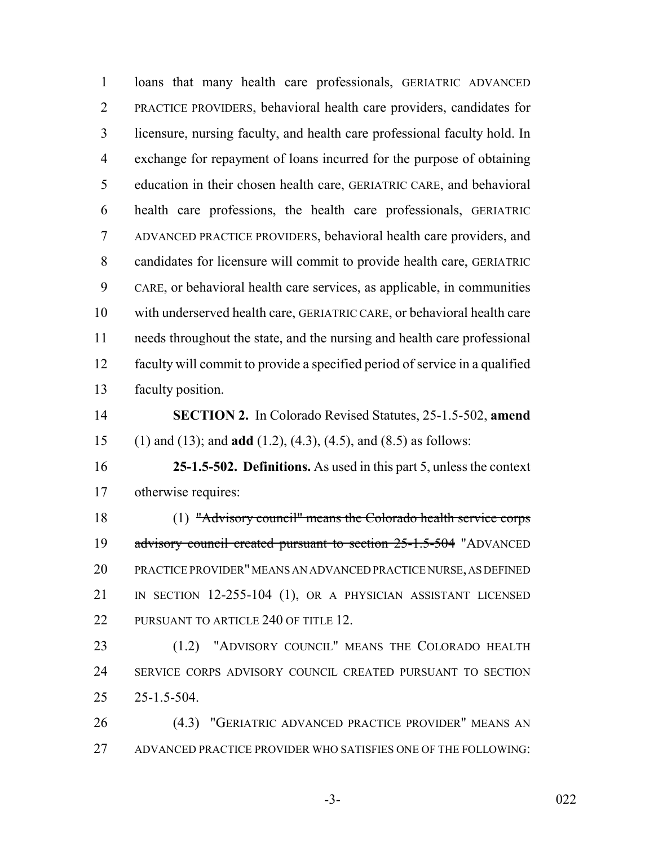loans that many health care professionals, GERIATRIC ADVANCED PRACTICE PROVIDERS, behavioral health care providers, candidates for licensure, nursing faculty, and health care professional faculty hold. In exchange for repayment of loans incurred for the purpose of obtaining education in their chosen health care, GERIATRIC CARE, and behavioral health care professions, the health care professionals, GERIATRIC ADVANCED PRACTICE PROVIDERS, behavioral health care providers, and candidates for licensure will commit to provide health care, GERIATRIC CARE, or behavioral health care services, as applicable, in communities with underserved health care, GERIATRIC CARE, or behavioral health care needs throughout the state, and the nursing and health care professional faculty will commit to provide a specified period of service in a qualified faculty position. **SECTION 2.** In Colorado Revised Statutes, 25-1.5-502, **amend** (1) and (13); and **add** (1.2), (4.3), (4.5), and (8.5) as follows: **25-1.5-502. Definitions.** As used in this part 5, unless the context otherwise requires: (1) "Advisory council" means the Colorado health service corps 19 advisory council created pursuant to section 25-1.5-504 "ADVANCED PRACTICE PROVIDER" MEANS AN ADVANCED PRACTICE NURSE, AS DEFINED 21 IN SECTION 12-255-104 (1), OR A PHYSICIAN ASSISTANT LICENSED 22 PURSUANT TO ARTICLE 240 OF TITLE 12. (1.2) "ADVISORY COUNCIL" MEANS THE COLORADO HEALTH SERVICE CORPS ADVISORY COUNCIL CREATED PURSUANT TO SECTION 25-1.5-504. (4.3) "GERIATRIC ADVANCED PRACTICE PROVIDER" MEANS AN

ADVANCED PRACTICE PROVIDER WHO SATISFIES ONE OF THE FOLLOWING:

-3- 022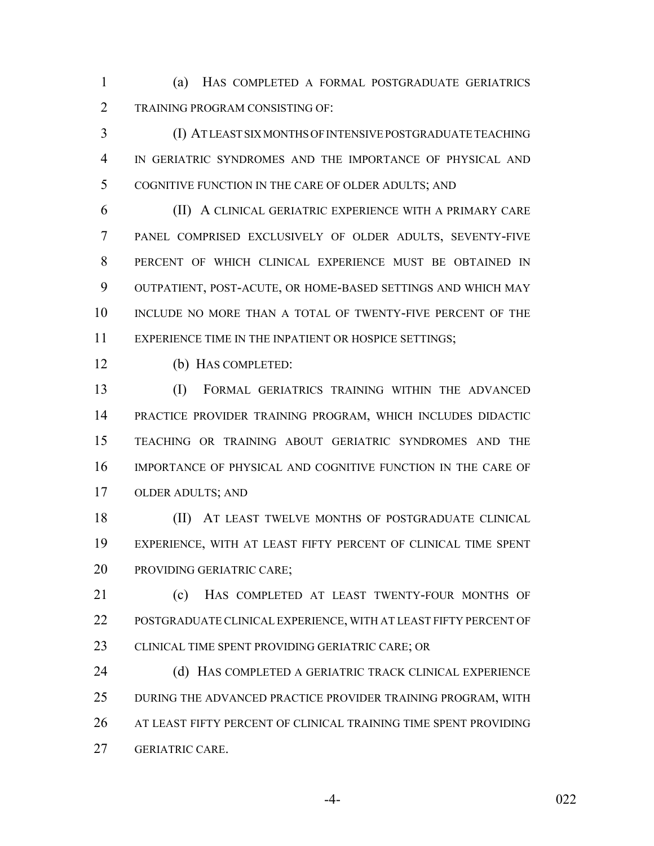(a) HAS COMPLETED A FORMAL POSTGRADUATE GERIATRICS TRAINING PROGRAM CONSISTING OF:

 (I) AT LEAST SIX MONTHS OF INTENSIVE POSTGRADUATE TEACHING IN GERIATRIC SYNDROMES AND THE IMPORTANCE OF PHYSICAL AND COGNITIVE FUNCTION IN THE CARE OF OLDER ADULTS; AND

 (II) A CLINICAL GERIATRIC EXPERIENCE WITH A PRIMARY CARE PANEL COMPRISED EXCLUSIVELY OF OLDER ADULTS, SEVENTY-FIVE PERCENT OF WHICH CLINICAL EXPERIENCE MUST BE OBTAINED IN OUTPATIENT, POST-ACUTE, OR HOME-BASED SETTINGS AND WHICH MAY INCLUDE NO MORE THAN A TOTAL OF TWENTY-FIVE PERCENT OF THE 11 EXPERIENCE TIME IN THE INPATIENT OR HOSPICE SETTINGS;

(b) HAS COMPLETED:

 (I) FORMAL GERIATRICS TRAINING WITHIN THE ADVANCED PRACTICE PROVIDER TRAINING PROGRAM, WHICH INCLUDES DIDACTIC TEACHING OR TRAINING ABOUT GERIATRIC SYNDROMES AND THE IMPORTANCE OF PHYSICAL AND COGNITIVE FUNCTION IN THE CARE OF OLDER ADULTS; AND

18 (II) AT LEAST TWELVE MONTHS OF POSTGRADUATE CLINICAL EXPERIENCE, WITH AT LEAST FIFTY PERCENT OF CLINICAL TIME SPENT PROVIDING GERIATRIC CARE;

 (c) HAS COMPLETED AT LEAST TWENTY-FOUR MONTHS OF POSTGRADUATE CLINICAL EXPERIENCE, WITH AT LEAST FIFTY PERCENT OF 23 CLINICAL TIME SPENT PROVIDING GERIATRIC CARE; OR

24 (d) HAS COMPLETED A GERIATRIC TRACK CLINICAL EXPERIENCE DURING THE ADVANCED PRACTICE PROVIDER TRAINING PROGRAM, WITH AT LEAST FIFTY PERCENT OF CLINICAL TRAINING TIME SPENT PROVIDING GERIATRIC CARE.

-4- 022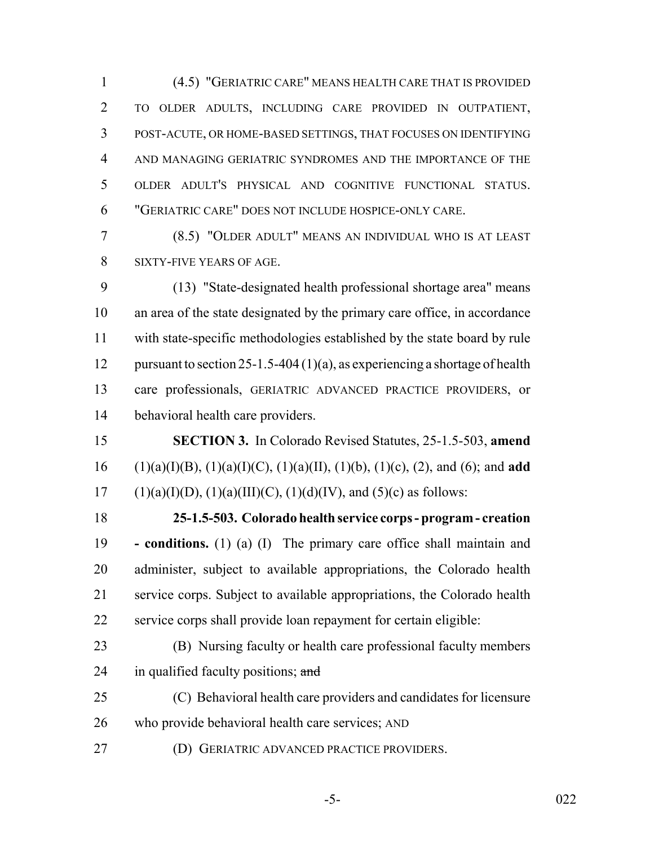(4.5) "GERIATRIC CARE" MEANS HEALTH CARE THAT IS PROVIDED TO OLDER ADULTS, INCLUDING CARE PROVIDED IN OUTPATIENT, POST-ACUTE, OR HOME-BASED SETTINGS, THAT FOCUSES ON IDENTIFYING AND MANAGING GERIATRIC SYNDROMES AND THE IMPORTANCE OF THE OLDER ADULT'S PHYSICAL AND COGNITIVE FUNCTIONAL STATUS. "GERIATRIC CARE" DOES NOT INCLUDE HOSPICE-ONLY CARE.

 (8.5) "OLDER ADULT" MEANS AN INDIVIDUAL WHO IS AT LEAST SIXTY-FIVE YEARS OF AGE.

 (13) "State-designated health professional shortage area" means an area of the state designated by the primary care office, in accordance with state-specific methodologies established by the state board by rule 12 pursuant to section 25-1.5-404 (1)(a), as experiencing a shortage of health care professionals, GERIATRIC ADVANCED PRACTICE PROVIDERS, or behavioral health care providers.

 **SECTION 3.** In Colorado Revised Statutes, 25-1.5-503, **amend** (1)(a)(I)(B), (1)(a)(I)(C), (1)(a)(II), (1)(b), (1)(c), (2), and (6); and **add** 17 (1)(a)(I)(D), (1)(a)(III)(C), (1)(d)(IV), and (5)(c) as follows:

 **25-1.5-503. Colorado health service corps - program - creation - conditions.** (1) (a) (I) The primary care office shall maintain and administer, subject to available appropriations, the Colorado health service corps. Subject to available appropriations, the Colorado health service corps shall provide loan repayment for certain eligible:

- (B) Nursing faculty or health care professional faculty members 24 in qualified faculty positions; and
- (C) Behavioral health care providers and candidates for licensure who provide behavioral health care services; AND
- (D) GERIATRIC ADVANCED PRACTICE PROVIDERS.
	-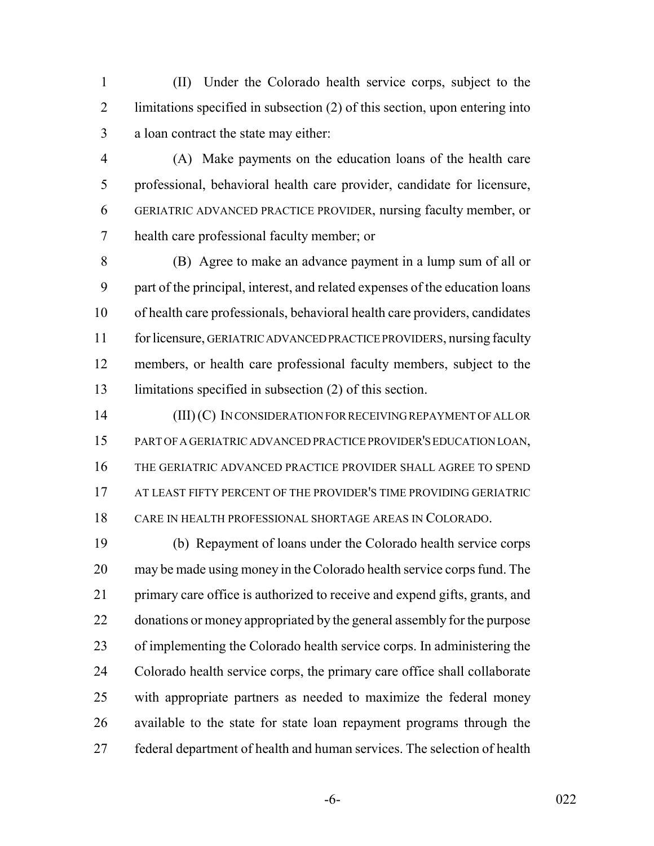(II) Under the Colorado health service corps, subject to the limitations specified in subsection (2) of this section, upon entering into a loan contract the state may either:

 (A) Make payments on the education loans of the health care professional, behavioral health care provider, candidate for licensure, GERIATRIC ADVANCED PRACTICE PROVIDER, nursing faculty member, or health care professional faculty member; or

 (B) Agree to make an advance payment in a lump sum of all or part of the principal, interest, and related expenses of the education loans of health care professionals, behavioral health care providers, candidates for licensure, GERIATRIC ADVANCED PRACTICE PROVIDERS, nursing faculty members, or health care professional faculty members, subject to the limitations specified in subsection (2) of this section.

 (III) (C) IN CONSIDERATION FOR RECEIVING REPAYMENT OF ALL OR PART OF A GERIATRIC ADVANCED PRACTICE PROVIDER'S EDUCATION LOAN, THE GERIATRIC ADVANCED PRACTICE PROVIDER SHALL AGREE TO SPEND 17 AT LEAST FIFTY PERCENT OF THE PROVIDER'S TIME PROVIDING GERIATRIC CARE IN HEALTH PROFESSIONAL SHORTAGE AREAS IN COLORADO.

 (b) Repayment of loans under the Colorado health service corps may be made using money in the Colorado health service corps fund. The primary care office is authorized to receive and expend gifts, grants, and donations or money appropriated by the general assembly for the purpose of implementing the Colorado health service corps. In administering the Colorado health service corps, the primary care office shall collaborate with appropriate partners as needed to maximize the federal money available to the state for state loan repayment programs through the federal department of health and human services. The selection of health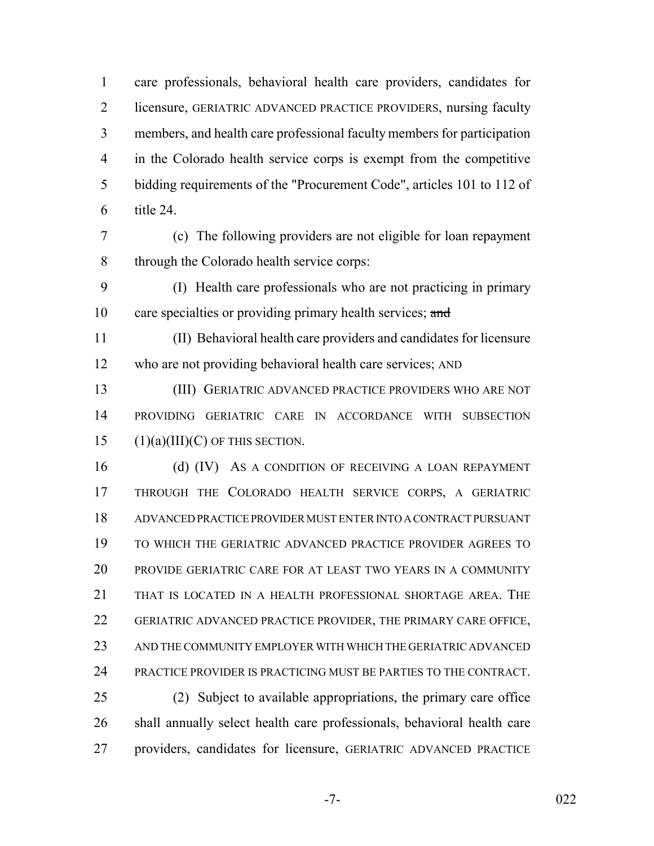care professionals, behavioral health care providers, candidates for licensure, GERIATRIC ADVANCED PRACTICE PROVIDERS, nursing faculty members, and health care professional faculty members for participation in the Colorado health service corps is exempt from the competitive bidding requirements of the "Procurement Code", articles 101 to 112 of title 24.

- (c) The following providers are not eligible for loan repayment through the Colorado health service corps:
- (I) Health care professionals who are not practicing in primary 10 care specialties or providing primary health services; and
- (II) Behavioral health care providers and candidates for licensure who are not providing behavioral health care services; AND
- (III) GERIATRIC ADVANCED PRACTICE PROVIDERS WHO ARE NOT PROVIDING GERIATRIC CARE IN ACCORDANCE WITH SUBSECTION 15  $(1)(a)(III)(C)$  OF THIS SECTION.

16 (d) (IV) As a condition of receiving a loan repayment THROUGH THE COLORADO HEALTH SERVICE CORPS, A GERIATRIC ADVANCED PRACTICE PROVIDER MUST ENTER INTO A CONTRACT PURSUANT TO WHICH THE GERIATRIC ADVANCED PRACTICE PROVIDER AGREES TO PROVIDE GERIATRIC CARE FOR AT LEAST TWO YEARS IN A COMMUNITY THAT IS LOCATED IN A HEALTH PROFESSIONAL SHORTAGE AREA. THE GERIATRIC ADVANCED PRACTICE PROVIDER, THE PRIMARY CARE OFFICE, AND THE COMMUNITY EMPLOYER WITH WHICH THE GERIATRIC ADVANCED PRACTICE PROVIDER IS PRACTICING MUST BE PARTIES TO THE CONTRACT. (2) Subject to available appropriations, the primary care office

 shall annually select health care professionals, behavioral health care providers, candidates for licensure, GERIATRIC ADVANCED PRACTICE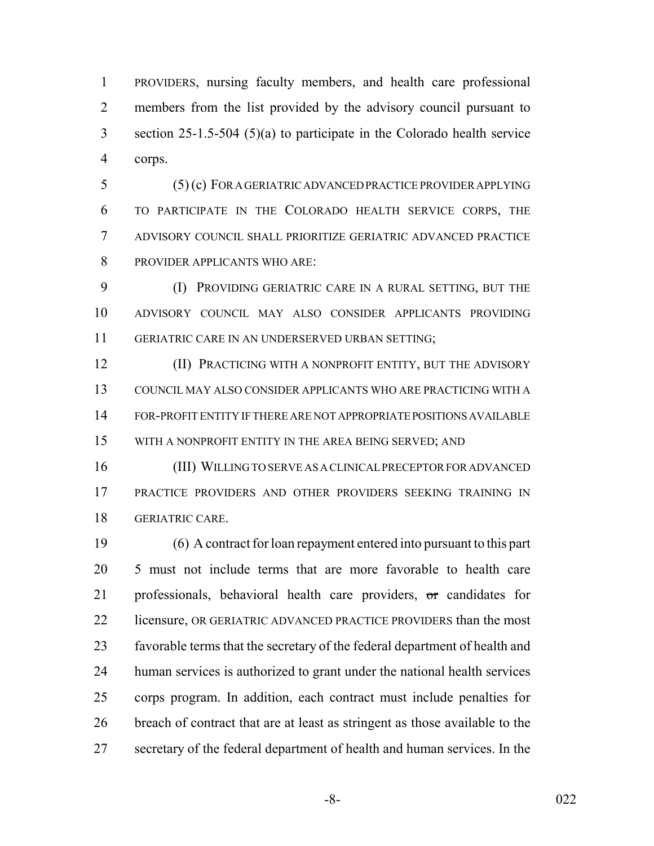PROVIDERS, nursing faculty members, and health care professional members from the list provided by the advisory council pursuant to section 25-1.5-504 (5)(a) to participate in the Colorado health service corps.

 (5) (c) FOR A GERIATRIC ADVANCED PRACTICE PROVIDER APPLYING TO PARTICIPATE IN THE COLORADO HEALTH SERVICE CORPS, THE ADVISORY COUNCIL SHALL PRIORITIZE GERIATRIC ADVANCED PRACTICE PROVIDER APPLICANTS WHO ARE:

 (I) PROVIDING GERIATRIC CARE IN A RURAL SETTING, BUT THE ADVISORY COUNCIL MAY ALSO CONSIDER APPLICANTS PROVIDING GERIATRIC CARE IN AN UNDERSERVED URBAN SETTING;

**(II) PRACTICING WITH A NONPROFIT ENTITY, BUT THE ADVISORY**  COUNCIL MAY ALSO CONSIDER APPLICANTS WHO ARE PRACTICING WITH A FOR-PROFIT ENTITY IF THERE ARE NOT APPROPRIATE POSITIONS AVAILABLE WITH A NONPROFIT ENTITY IN THE AREA BEING SERVED; AND

 (III) WILLING TO SERVE AS A CLINICAL PRECEPTOR FOR ADVANCED PRACTICE PROVIDERS AND OTHER PROVIDERS SEEKING TRAINING IN GERIATRIC CARE.

 (6) A contract for loan repayment entered into pursuant to this part 5 must not include terms that are more favorable to health care 21 professionals, behavioral health care providers, or candidates for 22 licensure, OR GERIATRIC ADVANCED PRACTICE PROVIDERS than the most favorable terms that the secretary of the federal department of health and human services is authorized to grant under the national health services corps program. In addition, each contract must include penalties for breach of contract that are at least as stringent as those available to the secretary of the federal department of health and human services. In the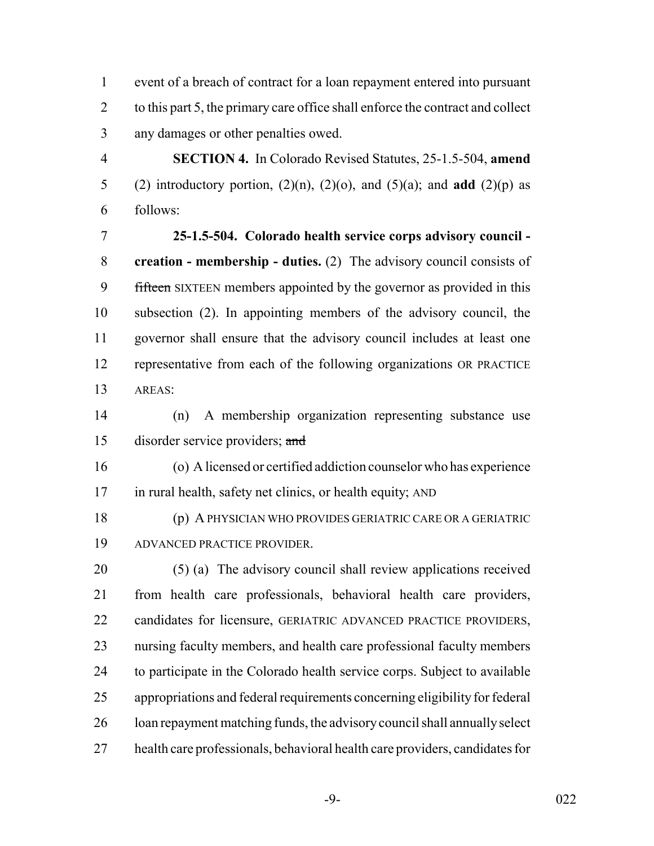event of a breach of contract for a loan repayment entered into pursuant 2 to this part 5, the primary care office shall enforce the contract and collect any damages or other penalties owed.

 **SECTION 4.** In Colorado Revised Statutes, 25-1.5-504, **amend** (2) introductory portion, (2)(n), (2)(o), and (5)(a); and **add** (2)(p) as follows:

 **25-1.5-504. Colorado health service corps advisory council - creation - membership - duties.** (2) The advisory council consists of 9 fifteen SIXTEEN members appointed by the governor as provided in this subsection (2). In appointing members of the advisory council, the governor shall ensure that the advisory council includes at least one representative from each of the following organizations OR PRACTICE AREAS:

 (n) A membership organization representing substance use disorder service providers; and

 (o) A licensed or certified addiction counselor who has experience in rural health, safety net clinics, or health equity; AND

 (p) A PHYSICIAN WHO PROVIDES GERIATRIC CARE OR A GERIATRIC ADVANCED PRACTICE PROVIDER.

 (5) (a) The advisory council shall review applications received from health care professionals, behavioral health care providers, candidates for licensure, GERIATRIC ADVANCED PRACTICE PROVIDERS, nursing faculty members, and health care professional faculty members to participate in the Colorado health service corps. Subject to available appropriations and federal requirements concerning eligibility for federal loan repayment matching funds, the advisory council shall annually select health care professionals, behavioral health care providers, candidates for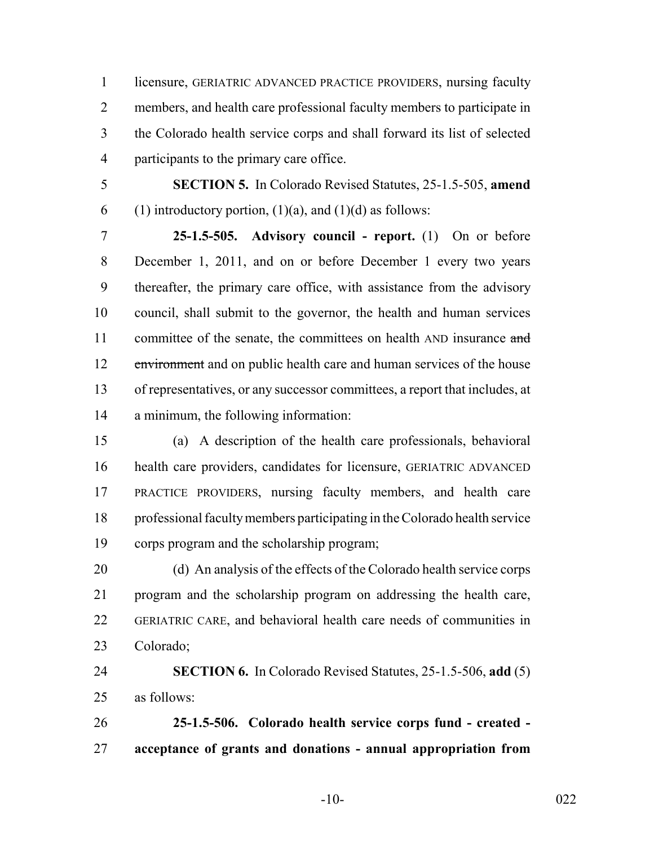licensure, GERIATRIC ADVANCED PRACTICE PROVIDERS, nursing faculty members, and health care professional faculty members to participate in the Colorado health service corps and shall forward its list of selected participants to the primary care office.

 **SECTION 5.** In Colorado Revised Statutes, 25-1.5-505, **amend** 6 (1) introductory portion,  $(1)(a)$ , and  $(1)(d)$  as follows:

 **25-1.5-505. Advisory council - report.** (1) On or before December 1, 2011, and on or before December 1 every two years thereafter, the primary care office, with assistance from the advisory council, shall submit to the governor, the health and human services 11 committee of the senate, the committees on health AND insurance and 12 environment and on public health care and human services of the house of representatives, or any successor committees, a report that includes, at a minimum, the following information:

 (a) A description of the health care professionals, behavioral health care providers, candidates for licensure, GERIATRIC ADVANCED PRACTICE PROVIDERS, nursing faculty members, and health care professional faculty members participating in the Colorado health service corps program and the scholarship program;

 (d) An analysis of the effects of the Colorado health service corps program and the scholarship program on addressing the health care, GERIATRIC CARE, and behavioral health care needs of communities in Colorado;

 **SECTION 6.** In Colorado Revised Statutes, 25-1.5-506, **add** (5) as follows:

 **25-1.5-506. Colorado health service corps fund - created - acceptance of grants and donations - annual appropriation from**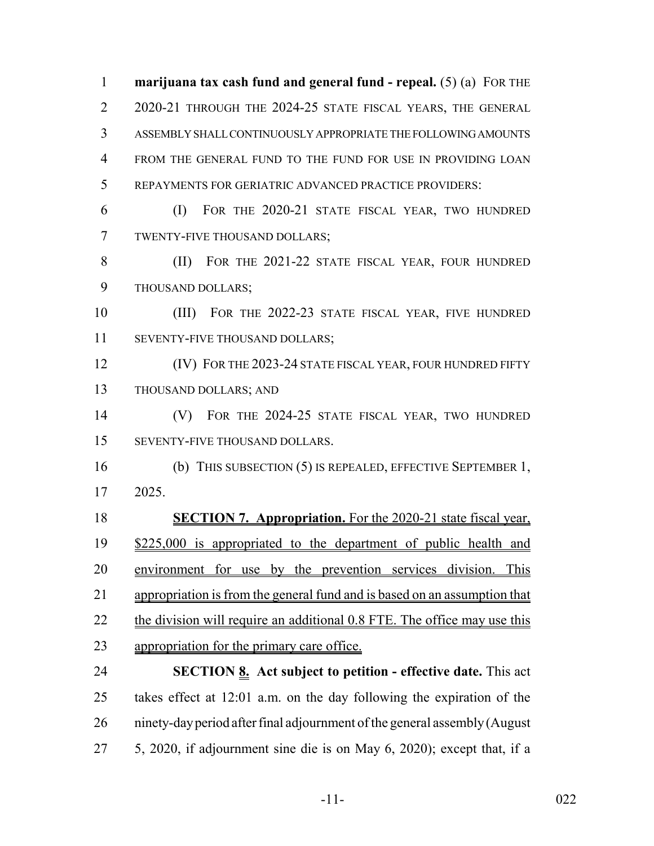**marijuana tax cash fund and general fund - repeal.** (5) (a) FOR THE 2 2020-21 THROUGH THE 2024-25 STATE FISCAL YEARS, THE GENERAL ASSEMBLY SHALL CONTINUOUSLY APPROPRIATE THE FOLLOWING AMOUNTS FROM THE GENERAL FUND TO THE FUND FOR USE IN PROVIDING LOAN REPAYMENTS FOR GERIATRIC ADVANCED PRACTICE PROVIDERS: (I) FOR THE 2020-21 STATE FISCAL YEAR, TWO HUNDRED TWENTY-FIVE THOUSAND DOLLARS; (II) FOR THE 2021-22 STATE FISCAL YEAR, FOUR HUNDRED THOUSAND DOLLARS;

 (III) FOR THE 2022-23 STATE FISCAL YEAR, FIVE HUNDRED SEVENTY-FIVE THOUSAND DOLLARS;

**(IV) FOR THE 2023-24 STATE FISCAL YEAR, FOUR HUNDRED FIFTY** THOUSAND DOLLARS; AND

 (V) FOR THE 2024-25 STATE FISCAL YEAR, TWO HUNDRED SEVENTY-FIVE THOUSAND DOLLARS.

 (b) THIS SUBSECTION (5) IS REPEALED, EFFECTIVE SEPTEMBER 1, 2025.

 **SECTION 7. Appropriation.** For the 2020-21 state fiscal year, \$225,000 is appropriated to the department of public health and environment for use by the prevention services division. This appropriation is from the general fund and is based on an assumption that 22 the division will require an additional 0.8 FTE. The office may use this appropriation for the primary care office.

 **SECTION 8. Act subject to petition - effective date.** This act takes effect at 12:01 a.m. on the day following the expiration of the ninety-day period after final adjournment of the general assembly (August 5, 2020, if adjournment sine die is on May 6, 2020); except that, if a